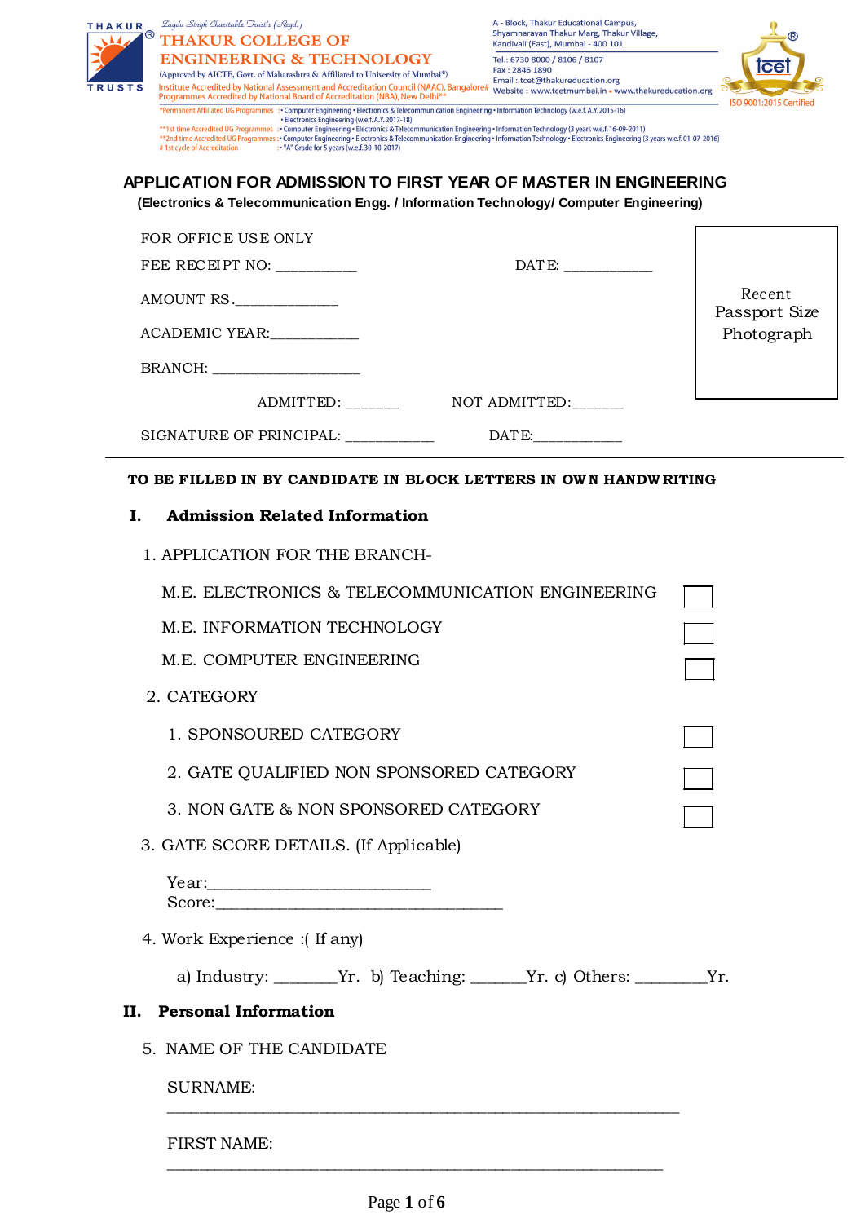| <b>THAKUR</b><br>$^{\circledR}$ | Zagdu Singh Charitable Trust's (Regd.)<br><b>THAKUR COLLEGE OF</b>                                                                                                                                                                                                                                                                                                                                            | A - Block, Thakur Educational Campus,<br>Shyamnarayan Thakur Marg, Thakur Village,<br>Kandivali (East), Mumbai - 400 101. |                         |
|---------------------------------|---------------------------------------------------------------------------------------------------------------------------------------------------------------------------------------------------------------------------------------------------------------------------------------------------------------------------------------------------------------------------------------------------------------|---------------------------------------------------------------------------------------------------------------------------|-------------------------|
|                                 | <b>ENGINEERING &amp; TECHNOLOGY</b><br>(Approved by AICTE, Govt. of Maharashtra & Affiliated to University of Mumbai*)                                                                                                                                                                                                                                                                                        | Tel.: 6730 8000 / 8106 / 8107<br>Fax: 2846 1890                                                                           | <b>Tce</b>              |
| TRUSTS                          | Institute Accredited by National Assessment and Accreditation Council (NAAC), Bangalore#<br>Programmes Accredited by National Board of Accreditation (NBA), New Delhi**<br>*Permanent Affiliated UG Programmes : • Computer Engineering • Electronics & Telecommunication Engineering • Information Technology (w.e.f. A.Y. 2015-16)                                                                          | Email: tcet@thakureducation.org<br>Website: www.tcetmumbai.in . www.thakureducation.org                                   | ISO 9001:2015 Certified |
|                                 | • Electronics Engineering (w.e.f. A.Y. 2017-18)<br>**1st time Accredited UG Programmes : Computer Engineering . Electronics & Telecommunication Engineering . Information Technology (3 years w.e.f. 16-09-2011)<br>**2nd time Accredited UG Programmes : • Computer Engineering • Electronics & Telecommunication Engineering • Information Technology • Electronics Engineering (3 years w.e.f. 01-07-2016) |                                                                                                                           |                         |
|                                 | : "A" Grade for 5 years (w.e.f. 30-10-2017)<br>#1st cycle of Accreditation<br>APPLICATION FOR ADMISSION TO FIRST YEAR OF MASTER IN ENGINEERING                                                                                                                                                                                                                                                                |                                                                                                                           |                         |
|                                 | (Electronics & Telecommunication Engg. / Information Technology/ Computer Engineering)                                                                                                                                                                                                                                                                                                                        |                                                                                                                           |                         |
|                                 | FOR OFFICE USE ONLY                                                                                                                                                                                                                                                                                                                                                                                           |                                                                                                                           |                         |
|                                 | FEE RECEIPT NO:                                                                                                                                                                                                                                                                                                                                                                                               | DATE: _____________                                                                                                       |                         |
|                                 | AMOUNT RS.                                                                                                                                                                                                                                                                                                                                                                                                    |                                                                                                                           | Recent<br>Passport Size |
|                                 | ACADEMIC YEAR:                                                                                                                                                                                                                                                                                                                                                                                                |                                                                                                                           | Photograph              |
|                                 | BRANCH: ____________                                                                                                                                                                                                                                                                                                                                                                                          |                                                                                                                           |                         |
|                                 | ADMITTED:                                                                                                                                                                                                                                                                                                                                                                                                     | NOT ADMITTED:                                                                                                             |                         |
|                                 | SIGNATURE OF PRINCIPAL:                                                                                                                                                                                                                                                                                                                                                                                       | DATE:                                                                                                                     |                         |
|                                 | TO BE FILLED IN BY CANDIDATE IN BLOCK LETTERS IN OWN HANDWRITING                                                                                                                                                                                                                                                                                                                                              |                                                                                                                           |                         |
| I.                              | <b>Admission Related Information</b>                                                                                                                                                                                                                                                                                                                                                                          |                                                                                                                           |                         |
|                                 | 1. APPLICATION FOR THE BRANCH-                                                                                                                                                                                                                                                                                                                                                                                |                                                                                                                           |                         |
|                                 | M.E. ELECTRONICS & TELECOMMUNICATION ENGINEERING                                                                                                                                                                                                                                                                                                                                                              |                                                                                                                           |                         |
|                                 | M.E. INFORMATION TECHNOLOGY                                                                                                                                                                                                                                                                                                                                                                                   |                                                                                                                           |                         |
|                                 | M.E. COMPUTER ENGINEERING                                                                                                                                                                                                                                                                                                                                                                                     |                                                                                                                           |                         |
|                                 | 2. CATEGORY                                                                                                                                                                                                                                                                                                                                                                                                   |                                                                                                                           |                         |
|                                 | 1. SPONSOURED CATEGORY                                                                                                                                                                                                                                                                                                                                                                                        |                                                                                                                           |                         |
|                                 | 2. GATE QUALIFIED NON SPONSORED CATEGORY                                                                                                                                                                                                                                                                                                                                                                      |                                                                                                                           |                         |
|                                 | 3. NON GATE & NON SPONSORED CATEGORY                                                                                                                                                                                                                                                                                                                                                                          |                                                                                                                           |                         |
|                                 | 3. GATE SCORE DETAILS. (If Applicable)                                                                                                                                                                                                                                                                                                                                                                        |                                                                                                                           |                         |
|                                 |                                                                                                                                                                                                                                                                                                                                                                                                               |                                                                                                                           |                         |
|                                 |                                                                                                                                                                                                                                                                                                                                                                                                               |                                                                                                                           |                         |
|                                 | 4. Work Experience :(If any)                                                                                                                                                                                                                                                                                                                                                                                  |                                                                                                                           |                         |
|                                 | a) Industry: ________Yr. b) Teaching: ______Yr. c) Others: ________Yr.                                                                                                                                                                                                                                                                                                                                        |                                                                                                                           |                         |
|                                 | II. Personal Information                                                                                                                                                                                                                                                                                                                                                                                      |                                                                                                                           |                         |
|                                 | 5. NAME OF THE CANDIDATE                                                                                                                                                                                                                                                                                                                                                                                      |                                                                                                                           |                         |
|                                 | <b>SURNAME:</b>                                                                                                                                                                                                                                                                                                                                                                                               |                                                                                                                           |                         |
|                                 | <b>FIRST NAME:</b>                                                                                                                                                                                                                                                                                                                                                                                            |                                                                                                                           |                         |
|                                 |                                                                                                                                                                                                                                                                                                                                                                                                               |                                                                                                                           |                         |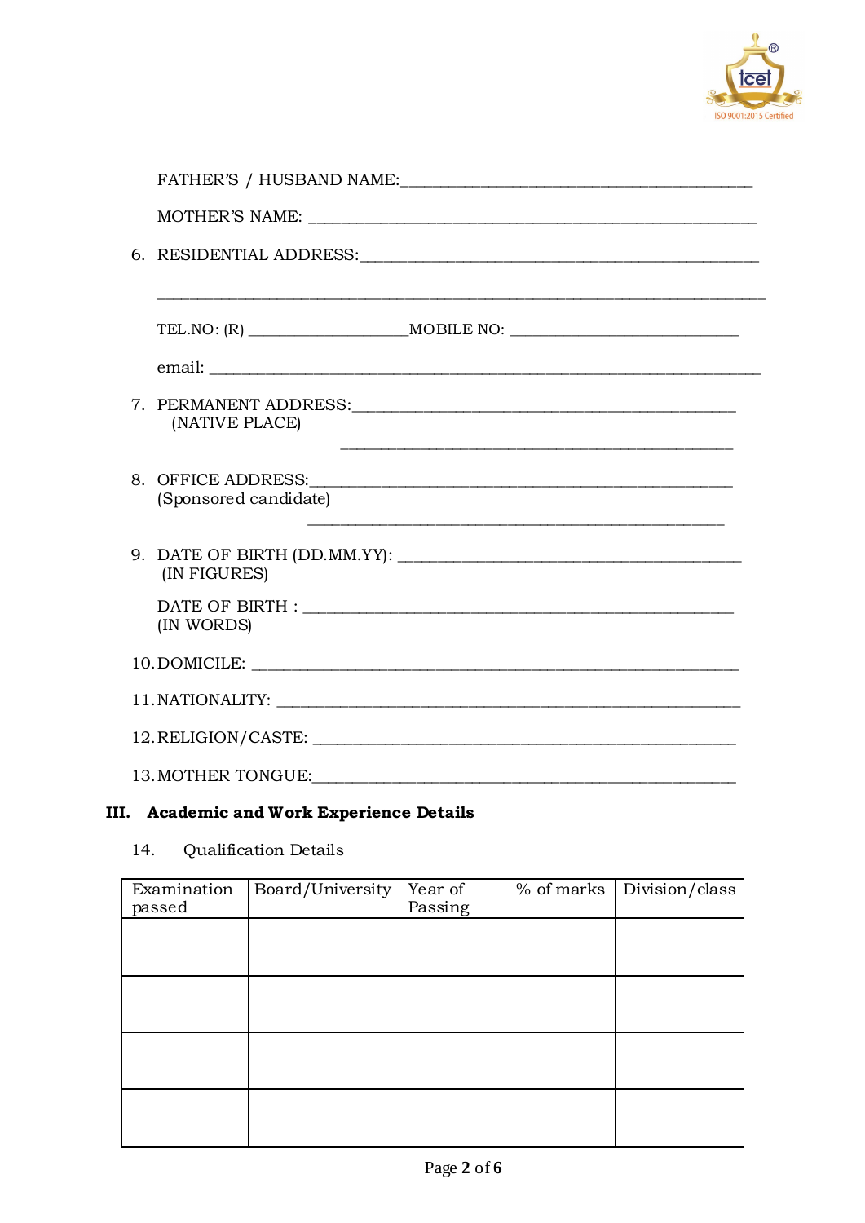

| (NATIVE PLACE)                              |
|---------------------------------------------|
| 8. OFFICE ADDRESS:<br>(Sponsored candidate) |
| (IN FIGURES)                                |
| (IN WORDS)                                  |
|                                             |
|                                             |
|                                             |
|                                             |

# III. Academic and Work Experience Details

#### **Qualification Details** 14.

| Examination<br>passed | Board/University | Year of<br>Passing | $\sqrt{\frac{1}{6}}$ of marks   Division/class |
|-----------------------|------------------|--------------------|------------------------------------------------|
|                       |                  |                    |                                                |
|                       |                  |                    |                                                |
|                       |                  |                    |                                                |
|                       |                  |                    |                                                |
|                       |                  |                    |                                                |
|                       |                  |                    |                                                |
|                       |                  |                    |                                                |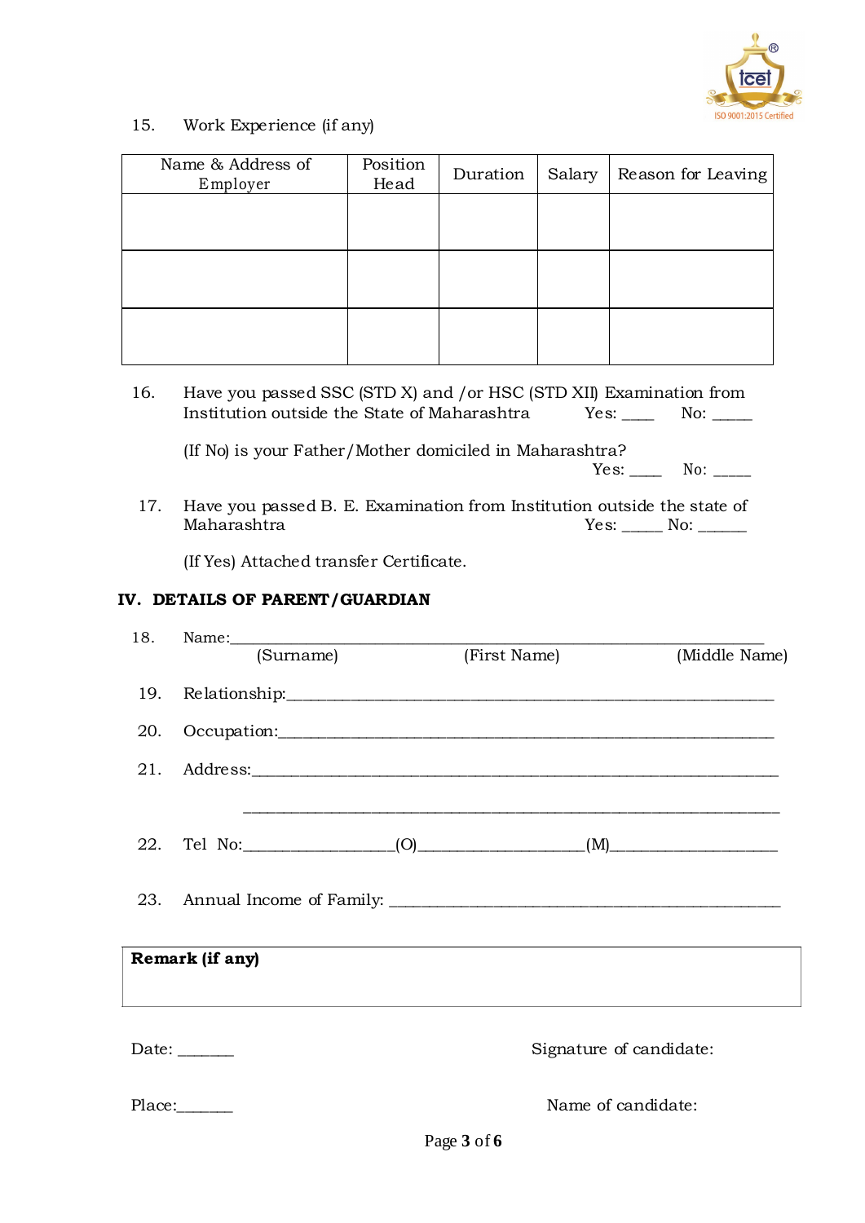

15. Work Experience (if any)

| Position<br>Head | Duration | Salary | Reason for Leaving |
|------------------|----------|--------|--------------------|
|                  |          |        |                    |
|                  |          |        |                    |
|                  |          |        |                    |
|                  |          |        |                    |
|                  |          |        |                    |

16. Have you passed SSC (STD X) and /or HSC (STD XII) Examination from Institution outside the State of Maharashtra Yes: \_\_\_\_ No: \_\_\_\_\_

(If No) is your Father/Mother domiciled in Maharashtra? Yes: \_\_\_\_\_ No: \_\_\_\_\_

17. Have you passed B. E. Examination from Institution outside the state of Maharashtra Yes: No: Maharashtra Yes: \_\_\_\_\_ No: \_\_\_\_\_\_

(If Yes) Attached transfer Certificate.

## **IV. DETAILS OF PARENT/GUARDIAN**

|     | 18. Name: 18. 2010 18. 2010 18. 2010 18. 2010 18. 2010 18. 2010 18. 2010 18. 2010 18. 2010 18. 2010 18. 2010 1                                                                                                                 |              |                                                                                                                       |
|-----|--------------------------------------------------------------------------------------------------------------------------------------------------------------------------------------------------------------------------------|--------------|-----------------------------------------------------------------------------------------------------------------------|
|     | (Surname)                                                                                                                                                                                                                      | (First Name) | (Middle Name)                                                                                                         |
|     |                                                                                                                                                                                                                                |              |                                                                                                                       |
| 19. |                                                                                                                                                                                                                                |              |                                                                                                                       |
|     | 20. Occupation:                                                                                                                                                                                                                |              |                                                                                                                       |
|     | 21. Address: 2008. Address: 2008. Address: 2008. Address: 2008. Address: 2008. Address: 2008. Address: 2008. Address: 2008. Address: 2008. Address: 2008. Address: 2008. Address: 2008. Address: 2008. Address: 2008. Address: |              |                                                                                                                       |
|     |                                                                                                                                                                                                                                |              | <u> 1989 - Johann Stoff, deutscher Stoff, der Stoff, der Stoff, der Stoff, der Stoff, der Stoff, der Stoff, der S</u> |
|     |                                                                                                                                                                                                                                |              |                                                                                                                       |
|     |                                                                                                                                                                                                                                |              |                                                                                                                       |
| 23. |                                                                                                                                                                                                                                |              |                                                                                                                       |
|     |                                                                                                                                                                                                                                |              |                                                                                                                       |
|     | Remark (if any)                                                                                                                                                                                                                |              |                                                                                                                       |
|     |                                                                                                                                                                                                                                |              |                                                                                                                       |
|     |                                                                                                                                                                                                                                |              |                                                                                                                       |
|     | Date: $\frac{1}{1}$                                                                                                                                                                                                            |              | Signature of candidate:                                                                                               |
|     |                                                                                                                                                                                                                                |              |                                                                                                                       |
|     |                                                                                                                                                                                                                                |              | Name of candidate:                                                                                                    |
|     |                                                                                                                                                                                                                                |              |                                                                                                                       |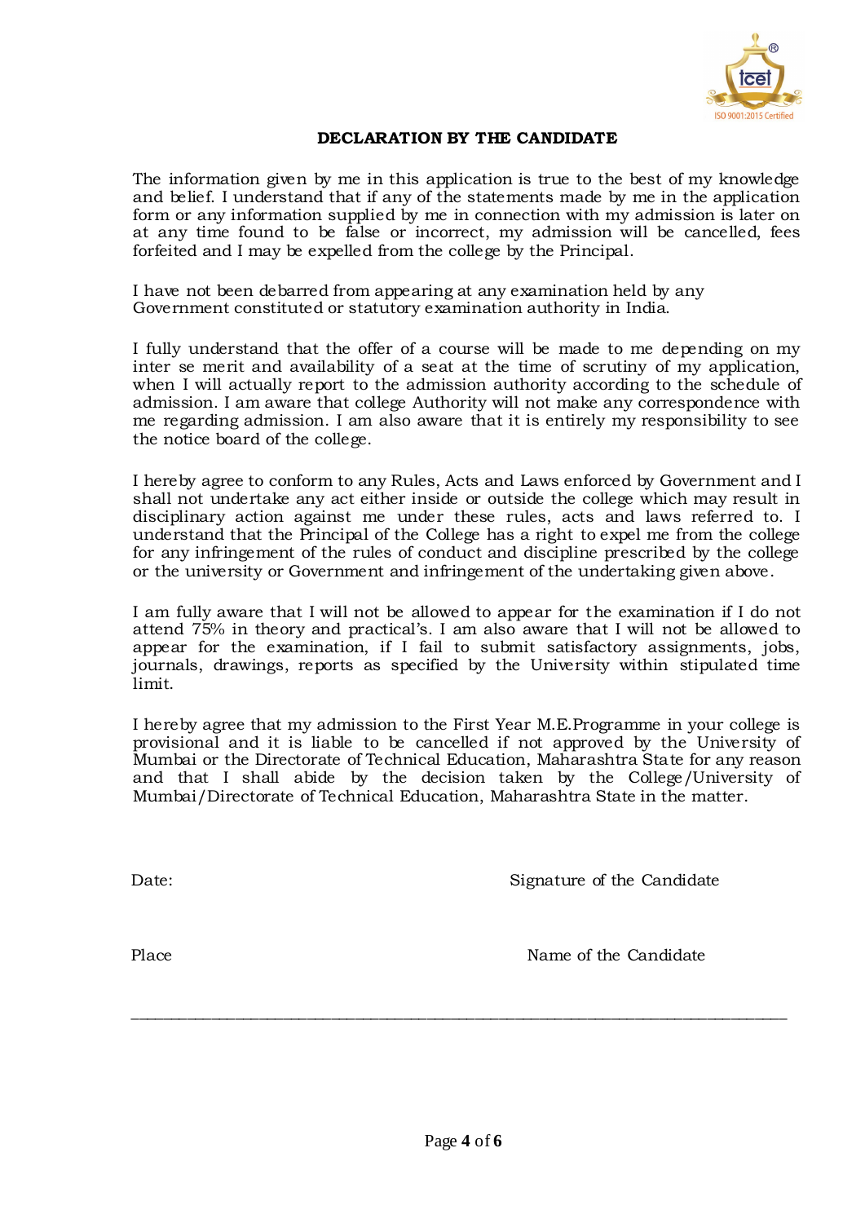

#### **DECLARATION BY THE CANDIDATE**

The information given by me in this application is true to the best of my knowledge and belief. I understand that if any of the statements made by me in the application form or any information supplied by me in connection with my admission is later on at any time found to be false or incorrect, my admission will be cancelled, fees forfeited and I may be expelled from the college by the Principal.

I have not been debarred from appearing at any examination held by any Government constituted or statutory examination authority in India.

I fully understand that the offer of a course will be made to me depending on my inter se merit and availability of a seat at the time of scrutiny of my application, when I will actually report to the admission authority according to the schedule of admission. I am aware that college Authority will not make any correspondence with me regarding admission. I am also aware that it is entirely my responsibility to see the notice board of the college.

I hereby agree to conform to any Rules, Acts and Laws enforced by Government and I shall not undertake any act either inside or outside the college which may result in disciplinary action against me under these rules, acts and laws referred to. I understand that the Principal of the College has a right to expel me from the college for any infringement of the rules of conduct and discipline prescribed by the college or the university or Government and infringement of the undertaking given above.

I am fully aware that I will not be allowed to appear for the examination if I do not attend 75% in theory and practical's. I am also aware that I will not be allowed to appear for the examination, if I fail to submit satisfactory assignments, jobs, journals, drawings, reports as specified by the University within stipulated time limit.

I hereby agree that my admission to the First Year M.E.Programme in your college is provisional and it is liable to be cancelled if not approved by the University of Mumbai or the Directorate of Technical Education, Maharashtra State for any reason and that I shall abide by the decision taken by the College/University of Mumbai/Directorate of Technical Education, Maharashtra State in the matter.

Date: Signature of the Candidate

Place **Name of the Candidate** Name of the Candidate

**\_\_\_\_\_\_\_\_\_\_\_\_\_\_\_\_\_\_\_\_\_\_\_\_\_\_\_\_\_\_\_\_\_\_\_\_\_\_\_\_\_\_\_\_\_\_\_\_\_\_\_\_\_\_\_\_\_\_\_\_\_\_\_\_\_\_\_\_\_\_\_\_\_\_\_\_\_\_\_\_\_\_**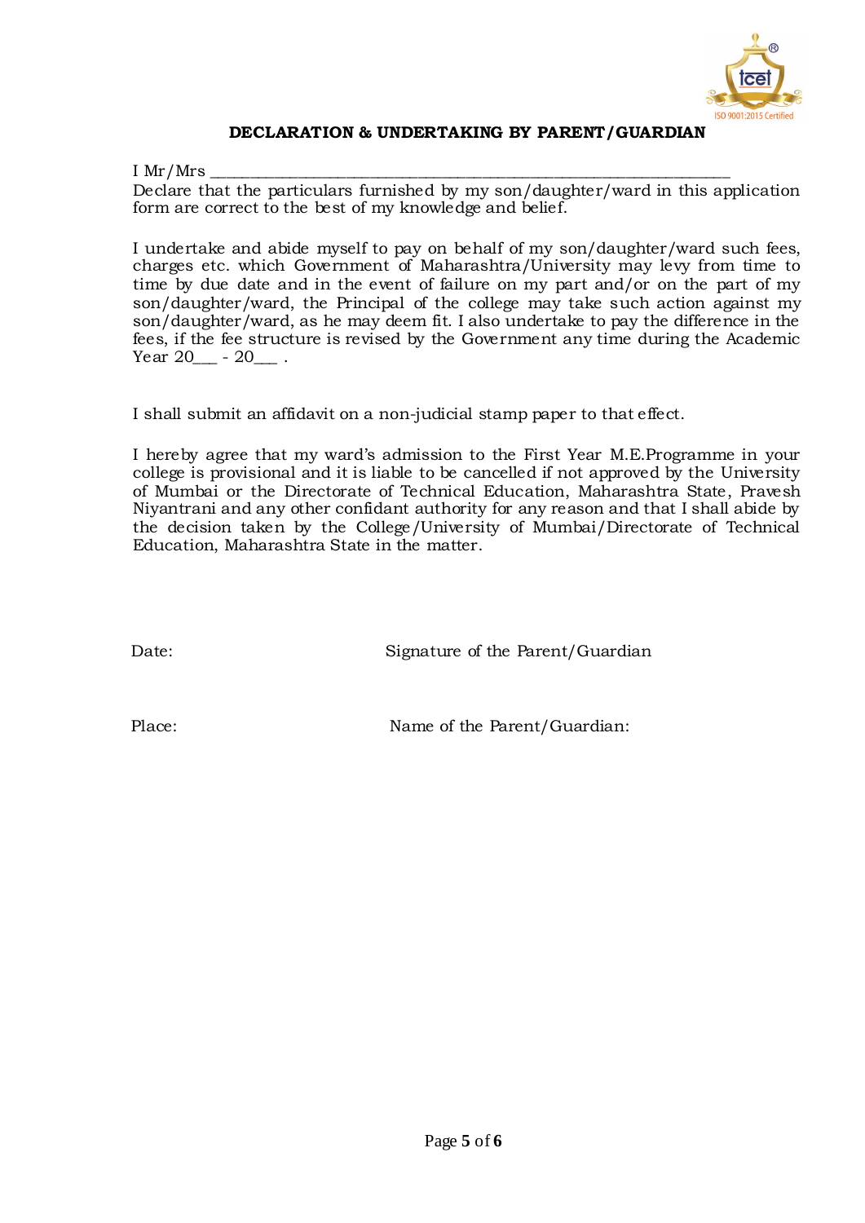

### **DECLARATION & UNDERTAKING BY PARENT/GUARDIAN**

I Mr/Mrs $\_$ 

Declare that the particulars furnished by my son/daughter/ward in this application form are correct to the best of my knowledge and belief.

I undertake and abide myself to pay on behalf of my son/daughter/ward such fees, charges etc. which Government of Maharashtra/University may levy from time to time by due date and in the event of failure on my part and/or on the part of my son/daughter/ward, the Principal of the college may take such action against my son/daughter/ward, as he may deem fit. I also undertake to pay the difference in the fees, if the fee structure is revised by the Government any time during the Academic Year 20<sup>-1</sup> - 20<sup>-1</sup>

I shall submit an affidavit on a non-judicial stamp paper to that effect.

I hereby agree that my ward's admission to the First Year M.E.Programme in your college is provisional and it is liable to be cancelled if not approved by the University of Mumbai or the Directorate of Technical Education, Maharashtra State, Pravesh Niyantrani and any other confidant authority for any reason and that I shall abide by the decision taken by the College/University of Mumbai/Directorate of Technical Education, Maharashtra State in the matter.

Date: Signature of the Parent/Guardian

Place: Name of the Parent/Guardian: